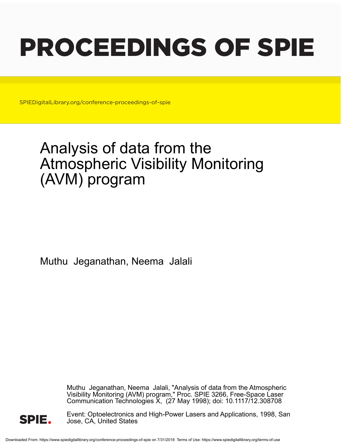# PROCEEDINGS OF SPIE

SPIEDigitalLibrary.org/conference-proceedings-of-spie

## Analysis of data from the Atmospheric Visibility Monitoring (AVM) program

Muthu Jeganathan, Neema Jalali

Muthu Jeganathan, Neema Jalali, "Analysis of data from the Atmospheric Visibility Monitoring (AVM) program," Proc. SPIE 3266, Free-Space Laser Communication Technologies X, (27 May 1998); doi: 10.1117/12.308708



Event: Optoelectronics and High-Power Lasers and Applications, 1998, San Jose, CA, United States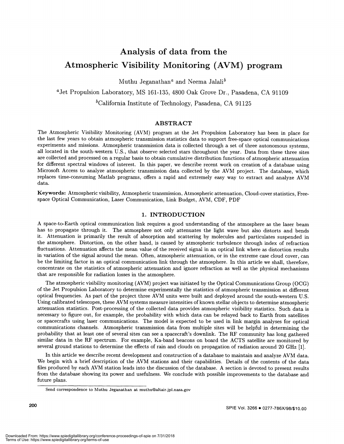### Analysis of data from the Atmospheric Visibility Monitoring (AVM) program

Muthu Jeganathan<sup>a</sup> and Neema Jalali<sup>b</sup>

<sup>a</sup>Jet Propulsion Laboratory, MS 161-135, 4800 Oak Grove Dr., Pasadena, CA 91109

 ${}^b$ California Institute of Technology, Pasadena, CA 91125

#### ABSTRACT

The Atmospheric Visibility Monitoring (AVM) program at the Jet Propulsion Laboratory has been in place for the last few years to obtain atmospheric transmission statistics data to support free-space optical communications experiments and missions. Atmospheric transmission data is collected through a set of three autonomous systems, all located in the south-western U.S., that observe selected stars throughout the year. Data from these three sites are collected and processed on a regular basis to obtain cumulative distribution functions of atmospheric attenuation for different spectral windows of interest. In this paper, we describe recent work on creation of a database using Microsoft Access to analyze atmospheric transmission data collected by the AVM project. The database, which replaces time-consuming Matlab programs, offers a rapid and extremely easy way to extract and analyze AVM data.

Keywords: Atmospheric visibility, Atmospheric transmission, Atmospheric attenuation, Cloud-cover statistics, Freespace Optical Communication, Laser Communication, Link Budget, AVM, CDF, PDF

#### 1. INTRODUCTION

A space-to-Earth optical communication link requires a good understanding of the atmosphere as the laser beam has to propagate through it. The atmosphere not only attenuates the light wave but also distorts and bends it. Attenuation is primarily the result of absorption and scattering by molecules and particulates suspended in the atmosphere. Distortion, on the other hand, is caused by atmospheric turbulence through index of refraction fluctuations. Attenuation affects the mean value of the received signal in an optical link where as distortion results in variation of the signal around the mean. Often, atmospheric attenuation, or in the extreme case cloud cover, can be the limiting factor in an optical communication link through the atmosphere. In this article we shall, therefore, concentrate on the statistics of atmospheric attenuation and ignore refraction as well as the physical mechanisms that are responsible for radiation losses in the atmosphere.

The atmospheric visibility monitoring (AVM) project was initiated by the Optical Communications Group (OCG) of the Jet Propulsion Laboratory to determine experimentally the statistics of atmospheric transmission at different optical frequencies. As part of the project three AVM units were built and deployed around the south-western U.S. Using calibrated telescopes, these AVM systems measure intensities of known stellar objects to determine atmospheric attenuation statistics. Post-processing of the collected data provides atmospheric visibility statistics. Such data is necessary to figure out, for example, the probability with which data can be relayed back to Earth from satellites or spacecrafts using laser communications. The model is expected to be used in link margin analyses for optical communications channels. Atmospheric transmission data from multiple sites will be helpful in determining the probability that at least one of several sites can see a spacecraft's downlink. The RF community has long gathered similar data in the RF spectrum. For example, Ka-band beacons on board the ACTS satellite are monitored by several ground stations to determine the effects of rain and clouds on propagation of radiation around 20 GHz [1].

In this article we describe recent development and construction of a database to maintain and analyze AVM data. We begin with a brief description of the AVM stations and their capabilities. Details of the contents of the data files produced by each AVM station leads into the discussion of the database. A section is devoted to present results from the database showing its power and usefulness. We conclude with possible improvements to the database and future plans.

Send correspondence to Muthu Jeganathan at muthu@altair.jpl.nasa.gov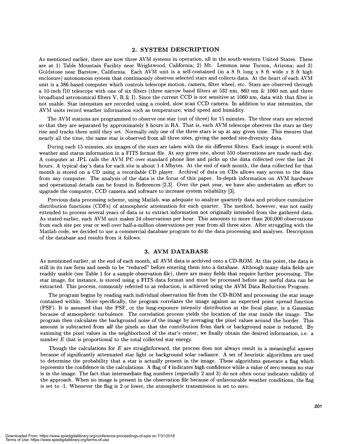#### 2. SYSTEM DESCRIPTION

As mentioned earlier, there are now three AVM systems in operation, all in the south-western United States. These are at 1) Table Mountain Facility near Wrightwood, California; 2) Mt. Lemmon near Tucson, Arizona; and 3) Goldstone near Barstow, California. Each AVM unit is a self-contained (in a 8 ft long x 8 ft wide x 8 ft high enclosure) autonomous system that continuously observes selected stars and collects data. At the heart of each AVM unit is a 386-based computer which controls telescope motion, camera, filter wheel, etc. Stars are observed through a 10-inch flO telescope with one of six filters (three narrow band filters at 532 nm, 860 nm & 1060 nm and three broadband astronomical filters V, R & I). Since the current CCD is not sensitive at 1060 nm, data with that filter is not usable. Star intensities are recorded using a cooled, slow scan CCD camera. In addition to star intensities, the AVM units record weather information such as temperature, wind speed and humidity.

The AVM stations are programmed to observe one star (out of three) for 15 minutes. The three stars are selected so that they are separated by approximately 8 hours in RA. That is, each AVM telescope observes the stars as they rise and tracks them until they set. Normally only one of the three stars is up at any given time. This ensures that nearly all the time, the same star is observed from all three sites, giving the needed site-diversity data.

During each 15 minutes, six images of the stars are taken with the six different filters. Each image is stored with weather and status information in a FITS format file. At any given site, about 550 observations are made each day. A computer at JPL calls the AVM PC over standard phone line and picks up the data collected over the last 24 hours. A typical day's data for each site is about 1.4 Mbytes. At the end of each month, the data collected for that month is stored on a CD using a recordable CD player. Archival of data on CDs allows easy access to the data from any computer. The analysis of the data is the focus of this paper. In-depth information on AVM hardware and operational details can be found in References [2,3] . Over the past year, we have also undertaken an effort to upgrade the computer, CCD camera and software to increase system reliability [3].

Previous data processing scheme, using Matlab, was adequate to analyze quarterly data and produce cumulative distribution functions (CDFs) of atmospheric attenuation for each quarter. The method, however, was not easily extended to process several years of data or to extract information not originally intended from the gathered data. As stated earlier, each AVM unit makes 24 observations per hour. This amounts to more than 200,000 observations from each site per year or well over half-a-million observations per year from all three sites. After struggling with the Matlab code, we decided to use a commercial database program to do the data processing and analyses. Description of the database and results from it follows.

#### 3. AVM DATABASE

As mentioned earlier, at the end of each month, all AVM data is archived onto a CD-ROM. At this point, the data is still in its raw form and needs to be "reduced" before entering them into a database. Although many data fields are readily usable (see Table 1 for a sample observation file) , there are many fields that require further processing. The star image, for instance, is stored using a FITS data format and must be processed before any useful data can be extracted. This process, commonly referred to as reduction, is achieved using the AVM Data Reduction Program.

The program begins by reading each individual observation file from the CD-ROM and processing the star image contained within. More specifically, the program correlates the image against an expected point spread function (PSF). It is assumed that the PSF, or the long-exposure intensity distribution at the focal plane, is a Gaussian because of atmospheric turbulence. The correlation process yields the location of the star inside the image. The program then calculates the background noise of the image by averaging the pixel values around the border. This amount is subtracted from all the pixels so that the contribution from dark or background noise is reduced. By summing the pixel values in the neighborhood of the star's center, we finally obtain the desired information, i.e. a number  $E$  that is proportional to the total collected star energy.

Though the calculations for  $E$  are straightforward, the process does not always result in a meaningful answer because of significantly attenuated star light or background solar radiance. A set of heuristic algorithms are used to determine the probability that a star is actually present in the image. These algorithms generate a flag which represents the confidence in the calculations. A flag of 4 indicates high confidence while a value of zero means no star is in the image. The fact that intermediate flag numbers (especially 2 and 3) do not often occur indicates validity of the approach. When no image is present in the observation file because of unfavourable weather conditions, the flag is set to -1. Whenever the flag is 2 or lower, the atmospheric transmission is set to zero.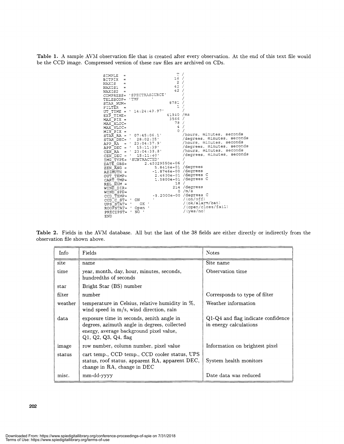Table 1. A sample AVM observation file that is created after every observation. At the end of this text file would be the CCD image. Compressed version of these raw files are archived on CDs.



Table 2. Fields in the AVM database. All but the last of the 38 fields are either directly or indirectly from the observation file shown above.

| Info    | Fields                                                                                                                                                       | <b>Notes</b>                                                 |
|---------|--------------------------------------------------------------------------------------------------------------------------------------------------------------|--------------------------------------------------------------|
| site    | name                                                                                                                                                         | Site name                                                    |
| time    | year, month, day, hour, minutes, seconds,<br>hundredths of seconds                                                                                           | Observation time                                             |
| star    | Bright Star (BS) number                                                                                                                                      |                                                              |
| filter  | number                                                                                                                                                       | Corresponds to type of filter                                |
| weather | temperature in Celsius, relative humidity in $\%$ ,<br>wind speed in m/s, wind direction, rain                                                               | Weather information                                          |
| data    | exposure time in seconds, zenith angle in<br>degrees, azimuth angle in degrees, collected<br>energy, average background pixel value,<br>Q1, Q2, Q3, Q4, flag | Q1-Q4 and flag indicate confidence<br>in energy calculations |
| image   | row number, column number, pixel value                                                                                                                       | Information on brightest pixel                               |
| status  | cart temp., CCD temp., CCD cooler status, UPS<br>status, roof status, apparent RA, apparent DEC,<br>change in RA, change in DEC                              | System health monitors                                       |
| misc.   | mm-dd-yyyy                                                                                                                                                   | Date data was reduced                                        |

Downloaded From: https://www.spiedigitallibrary.org/conference-proceedings-of-spie on 7/31/2018 Terms of Use: https://www.spiedigitallibrary.org/terms-of-use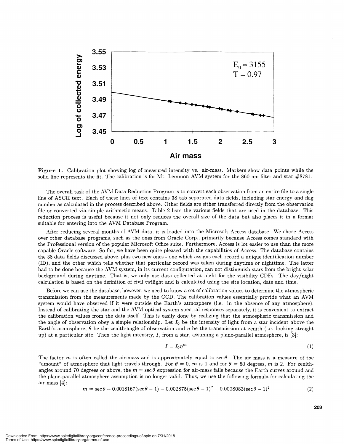

Figure 1. Calibration plot showing log of measured intensity vs. air-mass. Markers show data points while the solid line represents the fit. The calibration is for Mt. Lemmon AVM system for the 860 nm filter and star #8781.

The overall task of the AVM Data Reduction Program is to convert each observation from an entire file to a single line of ASCII text. Each of these lines of text contains 38 tab-separated data fields, including star energy and flag number as calculated in the process described above. Other fields are either transferred directly from the observation file or converted via simple arithmetic means. Table 2 lists the various fields that are used in the database. This reduction process is useful because it not oniy reduces the overall size of the data but also places it in a format suitable for entering into the AVM Database Program.

After reducing several months of AVM data, it is loaded into the Microsoft Access database. We chose Access over other database programs, such as the ones from Oracle Corp., primarily because Access comes standard with the Professional version of the popular Microsoft Office suite. Furthermore, Access is lot easier to use than the more capable Oracle software. So far, we have been quite pleased with the capabilities of Access. The database contains the 38 data fields discussed above, plus two new ones - one which assigns each record a unique identification number (ID), and the other which tells whether that particular record was taken during daytime or nighttime. The latter had to be done because the AVM system, in its current configuration, can not distinguish stars from the bright solar background during daytime. That is, we only use data collected at night for the visibility CDFs. The day/night calculation is based on the definition of civil twilight and is calculated using the site location, date and time.

Before we can use the database, however, we need to know a set of calibration values to determine the atmospheric transmission from the measurements made by the CCD. The calibration values essentially provide what an AVM system would have observed if it were outside the Earth's atmosphere (i.e. in the absence of any atmosphere). Instead of calibrating the star and the AVM optical system spectral responses separately, it is convenient to extract the calibration values from the data itself. This is easily done by realizing that the atmospheric transmission and the angle of observation obey a simple relationship. Let  $I_0$  be the intensity of light from a star incident above the Earth's atmosphere,  $\theta$  be the zenith-angle of observation and  $\eta$  be the transmission at zenith (i.e. looking straight up) at a particular site. Then the light intensity,  $I$ , from a star, assuming a plane-parallel atmosphere, is [3]:

$$
I = I_0 \eta^m \tag{1}
$$

The factor m is often called the air-mass and is approximately equal to sec  $\theta$ . The air mass is a measure of the "amount" of atmosphere that light travels through. For  $\theta = 0$ , m is 1 and for  $\theta = 60$  degrees, m is 2. For zenithangles around 70 degrees or above, the  $m = \sec \theta$  expression for air-mass fails because the Earth curves around and the plane-parallel atmosphere assumption is no longer valid. Thus, we use the following formula for calculating the air mass [4]:

$$
m = \sec \theta - 0.0018167(\sec \theta - 1) - 0.002875(\sec \theta - 1)^{2} - 0.0008083(\sec \theta - 1)^{3}
$$
 (2)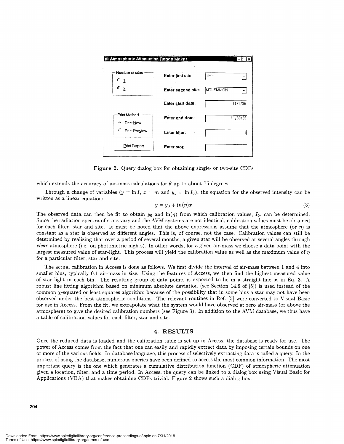| Number of sites<br>C           | Enter first site:  | <b>TMF</b> |
|--------------------------------|--------------------|------------|
| G<br>$\overline{2}$            | Enter second site: | MTLEMMON   |
|                                | Enter start date:  | 11/1/96    |
| Print Method<br>ে<br>Print Now | Enter end date:    | 11/30/96   |
| C<br>Print Preview             | Enter filter:      | 21         |
| Print Report                   | Enter star:        |            |

Figure 2. Query dialog box for obtaining single- or two-site CDFs

which extends the accuracy of air-mass calculations for  $\theta$  up to about 75 degrees.

Through a change of variables  $(y = \ln I, x = m \text{ and } y_o = \ln I_0)$ , the equation for the observed intensity can be written as a linear equation:

$$
y = y_0 + \ln(\eta)x \tag{3}
$$

The observed data can then be fit to obtain  $y_0$  and  $\ln(\eta)$  from which calibration values,  $I_0$ , can be determined. Since the radiation spectra of stars vary and the AVM systems are not identical, calibration values must be obtained for each filter, star and site. It must be noted that the above expressions assume that the atmosphere (or  $\eta$ ) is constant as a star is observed at different angles. This is, of course, not the case. Calibration values can still be determined by realizing that over a period of several months, a given star will be observed at several angles through clear atmosphere (i.e. on photometric nights). In other words, for a given air-mass we choose a data point with the largest measured value of star-light. This process will yield the calibration value as well as the maximum value of  $\eta$ for a particular filter, star and site.

The actual calibration in Access is done as follows. We first divide the interval of air-mass between 1 and 4 into smaller bins, typically 0.1 air-mass in size. Using the features of Access, we then find the highest measured value of star light in each bin. The resulting group of data points is expected to lie in a straight line as in Eq. 3. A robust line fitting algorithm based on minimum absolute deviation (see Section 14.6 of [5]) is used instead of the common  $\chi$ -squared or least squares algorithm because of the possibility that in some bins a star may not have been observed under the best atmospheric conditions. The relevant routines in Ref. [5] were converted to Visual Basic for use in Access. From the fit, we extrapolate what the system would have observed at zero air-mass (or above the atmosphere) to give the desired calibration numbers (see Figure 3). In addition to the AVM database, we thus have a table of calibration values for each filter, star and site.

#### 4. RESULTS

Once the reduced data is loaded and the calibration table is set up in Access, the database is ready for use. The power of Access comes from the fact that one can easily and rapidly extract data by imposing certain bounds on one or more of the various fields. In database language, this process of selectively extracting data is called a query. In the process of using the database, numerous queries have been defined to access the most common information. The most important query is the one which generates a cumulative distribution function (CDF) of atmospheric attenuation given a location, filter, and a time period. In Access, the query can be linked to a dialog box using Visual Basic for Applications (VBA) that makes obtaining CDFs trivial. Figure 2 shows such a dialog box.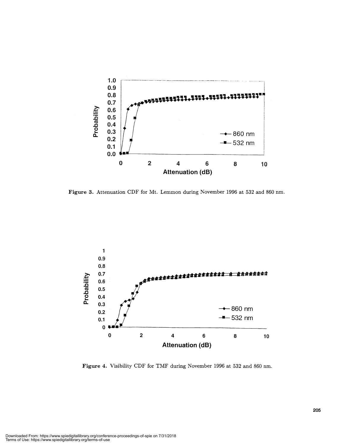

Figure 3. Attenuation CDF for Mt. Lemmon during November 1996 at 532 and 860 nm.



Figure 4. Visibility CDF for TMF during November 1996 at 532 and 860 nm.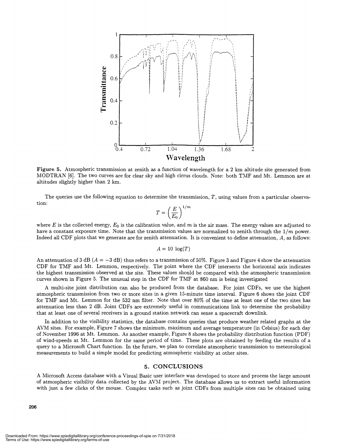

Figure 5. Atmospheric transmission at zenith as a function of wavelength for a 2 km altitude site generated from MODTRAN [6]. The two curves are for clear sky and high cirrus clouds. Note: both TMF and Mt. Lemmon are at altitudes slightly higher than 2 km.

The queries use the following equation to determine the transmission,  $T$ , using values from a particular observation:<br> $T - \left(\frac{E}{m}\right)^{1/m}$ 

$$
T = \left(\frac{E}{E_0}\right)^{1/m}
$$

where E is the collected energy,  $E_0$  is the calibration value, and m is the air mass. The energy values are adjusted to have a constant exposure time. Note that the transmission values are normalized to zenith through the  $1/m$  power. Indeed all CDF plots that we generate are for zenith attenuation. It is convenient to define attenuation, A, as follows:

$$
A = 10 \, \log(T)
$$

An attenuation of 3 dB ( $A = -3$  dB) thus refers to a transmission of 50%. Figure 3 and Figure 4 show the attenuation CDF for TMF and Mt. Lemmon, respectively. The point where the CDF intersects the horizontal axis indicates the highest transmission observed at the site. These values should be compared with the atmospheric transmission curves shown in Figure 5. The unusual step in the CDF for TMF at 860 nm is being investigated

A multi-site joint distribution can also be produced from the database. For joint CDFs, we use the highest atmospheric transmission from two or more sites in a given 15-minute time interval. Figure 6 shows the joint CDF for TMF and Mt. Lemmon for the 532 nm filter. Note that over 80% of the time at least one of the two sites has attenuation less than 2 dB. Joint CDFs are extremely useful in communications link to determine the probability that at least one of several receivers in a ground station network can sense a spacecraft downlink.

In addition to the visibility statistics, the database contains queries that produce weather related graphs at the AVM sites. For example, Figure 7 shows the minimum, maximum and average temperature (in Celsius) for each day of November 1996 at Mt. Lemmon. As another example, Figure 8 shows the probability distribution function (PDF) of wind-speeds at Mt. Lemmon for the same period of time. These plots are obtained by feeding the results of a query to a Microsoft Chart function. In the future, we plan to correlate atmospheric transmission to meteorological measurements to build a simple model for predicting atmospheric visibility at other sites.

#### 5. CONCLUSIONS

A Microsoft Access database with a Visual Basic user interface was developed to store and process the large amount of atmospheric visibility data collected by the AVM project. The database allows us to extract useful information with just a few clicks of the mouse. Complex tasks such as joint CDFs from multiple sites can be obtained using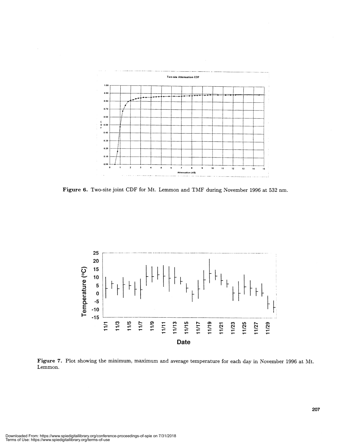

Figure 6. Two-site joint CDF for Mt. Lemmon and TMF during November 1996 at 532 nm.



Figure 7. Plot showing the minimum, maximum and average temperature for each day in November 1996 at Mt. Lemmon.